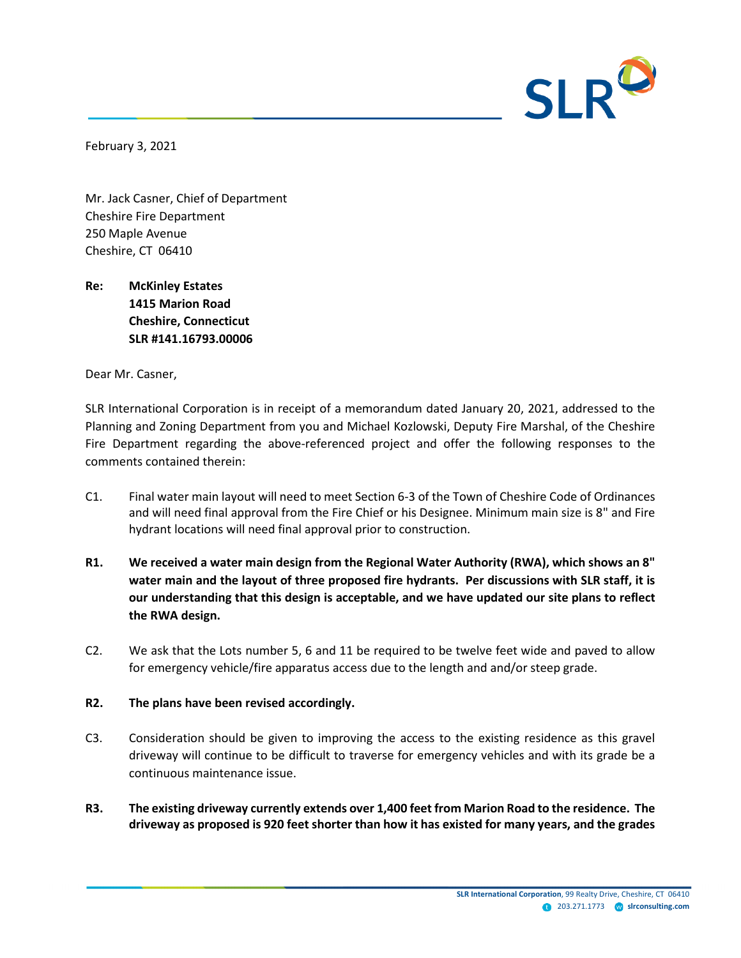

February 3, 2021

Mr. Jack Casner, Chief of Department Cheshire Fire Department 250 Maple Avenue Cheshire, CT 06410

**Re: McKinley Estates 1415 Marion Road Cheshire, Connecticut SLR #141.16793.00006**

Dear Mr. Casner,

SLR International Corporation is in receipt of a memorandum dated January 20, 2021, addressed to the Planning and Zoning Department from you and Michael Kozlowski, Deputy Fire Marshal, of the Cheshire Fire Department regarding the above-referenced project and offer the following responses to the comments contained therein:

- C1. Final water main layout will need to meet Section 6-3 of the Town of Cheshire Code of Ordinances and will need final approval from the Fire Chief or his Designee. Minimum main size is 8" and Fire hydrant locations will need final approval prior to construction.
- **R1. We received a water main design from the Regional Water Authority (RWA), which shows an 8" water main and the layout of three proposed fire hydrants. Per discussions with SLR staff, it is our understanding that this design is acceptable, and we have updated our site plans to reflect the RWA design.**
- C2. We ask that the Lots number 5, 6 and 11 be required to be twelve feet wide and paved to allow for emergency vehicle/fire apparatus access due to the length and and/or steep grade.

## **R2. The plans have been revised accordingly.**

- C3. Consideration should be given to improving the access to the existing residence as this gravel driveway will continue to be difficult to traverse for emergency vehicles and with its grade be a continuous maintenance issue.
- **R3. The existing driveway currently extends over 1,400 feet from Marion Road to the residence. The driveway as proposed is 920 feet shorter than how it has existed for many years, and the grades**